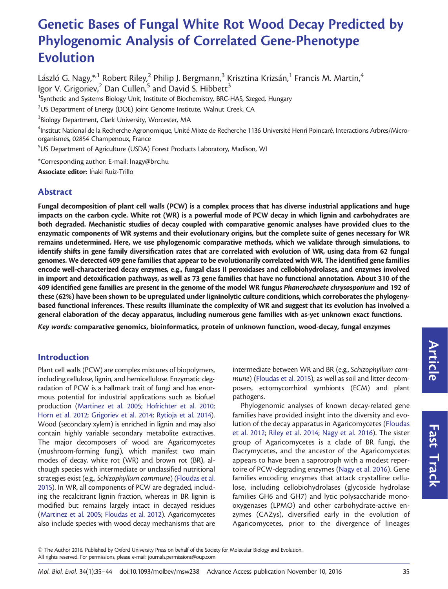# Genetic Bases of Fungal White Rot Wood Decay Predicted by Phylogenomic Analysis of Correlated Gene-Phenotype Evolution

László G. Nagy, $^{\ast}{}^{1}$ Robert Riley, $^{2}$  Philip J. Bergmann, $^{3}$  Krisztina Krizsán, $^{1}$  Francis M. Martin, $^{4}$ Igor V. Grigoriev,  $2$  Dan Cullen, $5$  and David S. Hibbett<sup>3</sup> <sup>1</sup>Synthetic and Systems Biology Unit, Institute of Biochemistry, BRC-HAS, Szeged, Hungary  $^{2}$ US Department of Energy (DOE) Joint Genome Institute, Walnut Creek, CA  $^3$ Biology Department, Clark University, Worcester, MA <sup>4</sup>Institut National de la Recherche Agronomique, Unité Mixte de Recherche 1136 Université Henri Poincaré, Interactions Arbres/Microorganismes, 02854 Champenoux, France 5 US Department of Agriculture (USDA) Forest Products Laboratory, Madison, WI \*Corresponding author: E-mail: lnagy@brc.hu Associate editor: Iñaki Ruiz-Trillo

# Abstract

Fungal decomposition of plant cell walls (PCW) is a complex process that has diverse industrial applications and huge impacts on the carbon cycle. White rot (WR) is a powerful mode of PCW decay in which lignin and carbohydrates are both degraded. Mechanistic studies of decay coupled with comparative genomic analyses have provided clues to the enzymatic components of WR systems and their evolutionary origins, but the complete suite of genes necessary for WR remains undetermined. Here, we use phylogenomic comparative methods, which we validate through simulations, to identify shifts in gene family diversification rates that are correlated with evolution of WR, using data from 62 fungal genomes. We detected 409 gene families that appear to be evolutionarily correlated with WR. The identified gene families encode well-characterized decay enzymes, e.g., fungal class II peroxidases and cellobiohydrolases, and enzymes involved in import and detoxification pathways, as well as 73 gene families that have no functional annotation. About 310 of the 409 identified gene families are present in the genome of the model WR fungus Phanerochaete chrysosporium and 192 of these (62%) have been shown to be upregulated under ligninolytic culture conditions, which corroborates the phylogenybased functional inferences. These results illuminate the complexity of WR and suggest that its evolution has involved a general elaboration of the decay apparatus, including numerous gene families with as-yet unknown exact functions.

Key words: comparative genomics, bioinformatics, protein of unknown function, wood-decay, fungal enzymes

### Introduction

Plant cell walls (PCW) are complex mixtures of biopolymers, including cellulose, lignin, and hemicellulose. Enzymatic degradation of PCW is a hallmark trait of fungi and has enormous potential for industrial applications such as biofuel production [\(Martinez et al. 2005;](#page-9-0) [Hofrichter et al. 2010;](#page-8-0) [Horn et al. 2012](#page-8-0); [Grigoriev et al. 2014](#page-8-0); [Rytioja et al. 2014\)](#page-9-0). Wood (secondary xylem) is enriched in lignin and may also contain highly variable secondary metabolite extractives. The major decomposers of wood are Agaricomycetes (mushroom-forming fungi), which manifest two main modes of decay, white rot (WR) and brown rot (BR), although species with intermediate or unclassified nutritional strategies exist (e.g., Schizophyllum commune) [\(Floudas et al.](#page-8-0) [2015](#page-8-0)). In WR, all components of PCW are degraded, including the recalcitrant lignin fraction, whereas in BR lignin is modified but remains largely intact in decayed residues ([Martinez et al. 2005](#page-9-0); [Floudas et al. 2012\)](#page-8-0). Agaricomycetes also include species with wood decay mechanisms that are intermediate between WR and BR (e.g., Schizophyllum commune) ([Floudas et al. 2015](#page-8-0)), as well as soil and litter decomposers, ectomycorrhizal symbionts (ECM) and plant pathogens.

Phylogenomic analyses of known decay-related gene families have provided insight into the diversity and evolution of the decay apparatus in Agaricomycetes ([Floudas](#page-8-0) [et al. 2012](#page-8-0); [Riley et al. 2014](#page-9-0); [Nagy et al. 2016\)](#page-9-0). The sister group of Agaricomycetes is a clade of BR fungi, the Dacrymycetes, and the ancestor of the Agaricomycetes appears to have been a saprotroph with a modest repertoire of PCW-degrading enzymes [\(Nagy et al. 2016](#page-9-0)). Gene families encoding enzymes that attack crystalline cellulose, including cellobiohydrolases (glycoside hydrolase families GH6 and GH7) and lytic polysaccharide monooxygenases (LPMO) and other carbohydrate-active enzymes (CAZys), diversified early in the evolution of Agaricomycetes, prior to the divergence of lineages

 $\odot$  The Author 2016. Published by Oxford University Press on behalf of the Society for Molecular Biology and Evolution. All rights reserved. For permissions, please e-mail: journals.permissions@oup.com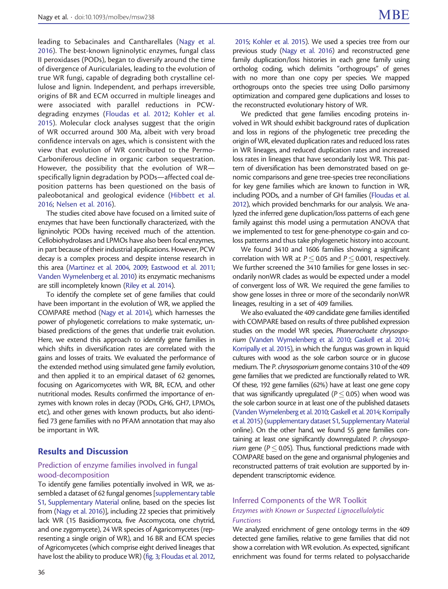leading to Sebacinales and Cantharellales ([Nagy et al.](#page-9-0) [2016](#page-9-0)). The best-known ligninolytic enzymes, fungal class II peroxidases (PODs), began to diversify around the time of divergence of Auriculariales, leading to the evolution of true WR fungi, capable of degrading both crystalline cellulose and lignin. Independent, and perhaps irreversible, origins of BR and ECM occurred in multiple lineages and were associated with parallel reductions in PCWdegrading enzymes [\(Floudas et al. 2012](#page-8-0); [Kohler et al.](#page-9-0) [2015](#page-9-0)). Molecular clock analyses suggest that the origin of WR occurred around 300 Ma, albeit with very broad confidence intervals on ages, which is consistent with the view that evolution of WR contributed to the Permo-Carboniferous decline in organic carbon sequestration. However, the possibility that the evolution of WR specifically lignin degradation by PODs—affected coal deposition patterns has been questioned on the basis of paleobotanical and geological evidence [\(Hibbett et al.](#page-8-0) [2016](#page-8-0); [Nelsen et al. 2016](#page-9-0)).

The studies cited above have focused on a limited suite of enzymes that have been functionally characterized, with the ligninolytic PODs having received much of the attention. Cellobiohydrolases and LPMOs have also been focal enzymes, in part because of their industrial applications. However, PCW decay is a complex process and despite intense research in this area [\(Martinez et al. 2004,](#page-9-0) [2009](#page-9-0); [Eastwood et al. 2011;](#page-8-0) [Vanden Wymelenberg et al. 2010\)](#page-9-0) its enzymatic mechanisms are still incompletely known [\(Riley et al. 2014\)](#page-9-0).

To identify the complete set of gene families that could have been important in the evolution of WR, we applied the COMPARE method [\(Nagy et al. 2014\)](#page-9-0), which harnesses the power of phylogenetic correlations to make systematic, unbiased predictions of the genes that underlie trait evolution. Here, we extend this approach to identify gene families in which shifts in diversification rates are correlated with the gains and losses of traits. We evaluated the performance of the extended method using simulated gene family evolution, and then applied it to an empirical dataset of 62 genomes, focusing on Agaricomycetes with WR, BR, ECM, and other nutritional modes. Results confirmed the importance of enzymes with known roles in decay (PODs, GH6, GH7, LPMOs, etc), and other genes with known products, but also identified 73 gene families with no PFAM annotation that may also be important in WR.

## Results and Discussion

#### Prediction of enzyme families involved in fungal wood-decomposition

To identify gene families potentially involved in WR, we assembled a dataset of 62 fungal genomes [[supplementary table](http://mbe.oxfordjournals.org/lookup/suppl/doi:10.1093/molbev/msw238/-/DC1) [S1](http://mbe.oxfordjournals.org/lookup/suppl/doi:10.1093/molbev/msw238/-/DC1), [Supplementary Material](http://mbe.oxfordjournals.org/lookup/suppl/doi:10.1093/molbev/msw238/-/DC1) online, based on the species list from [\(Nagy et al. 2016](#page-9-0))], including 22 species that primitively lack WR (15 Basidiomycota, five Ascomycota, one chytrid, and one zygomycete), 24 WR species of Agaricomycetes (representing a single origin of WR), and 16 BR and ECM species of Agricomycetes (which comprise eight derived lineages that have lost the ability to produce WR) ([fig. 3;](#page-5-0) [Floudas et al. 2012,](#page-8-0)

[2015](#page-8-0); [Kohler et al. 2015\)](#page-9-0). We used a species tree from our previous study [\(Nagy et al. 2016\)](#page-9-0) and reconstructed gene family duplication/loss histories in each gene family using ortholog coding, which delimits "orthogroups" of genes with no more than one copy per species. We mapped orthogroups onto the species tree using Dollo parsimony optimization and compared gene duplications and losses to the reconstructed evolutionary history of WR.

We predicted that gene families encoding proteins involved in WR should exhibit background rates of duplication and loss in regions of the phylogenetic tree preceding the origin of WR, elevated duplication rates and reduced loss rates in WR lineages, and reduced duplication rates and increased loss rates in lineages that have secondarily lost WR. This pattern of diversification has been demonstrated based on genomic comparisons and gene tree-species tree reconciliations for key gene families which are known to function in WR, including PODs, and a number of GH families ([Floudas et al.](#page-8-0) [2012\)](#page-8-0), which provided benchmarks for our analysis. We analyzed the inferred gene duplication/loss patterns of each gene family against this model using a permutation ANOVA that we implemented to test for gene-phenotype co-gain and coloss patterns and thus take phylogenetic history into account.

We found 3410 and 1606 families showing a significant correlation with WR at  $P \leq 0.05$  and  $P \leq 0.001$ , respectively. We further screened the 3410 families for gene losses in secondarily nonWR clades as would be expected under a model of convergent loss of WR. We required the gene families to show gene losses in three or more of the secondarily nonWR lineages, resulting in a set of 409 families.

We also evaluated the 409 candidate gene families identified with COMPARE based on results of three published expression studies on the model WR species, Phanerochaete chrysosporium [\(Vanden Wymelenberg et al. 2010;](#page-9-0) [Gaskell et al. 2014;](#page-8-0) [Korripally et al. 2015\)](#page-9-0), in which the fungus was grown in liquid cultures with wood as the sole carbon source or in glucose medium. The P. chrysosporium genome contains 310 of the 409 gene families that we predicted are functionally related to WR. Of these, 192 gene families (62%) have at least one gene copy that was significantly upregulated ( $P \leq 0.05$ ) when wood was the sole carbon source in at least one of the published datasets [\(Vanden Wymelenberg et al. 2010;](#page-9-0) [Gaskell et al. 2014;](#page-8-0) [Korripally](#page-9-0) [et al. 2015](#page-9-0)) [\(supplementary dataset S1](http://mbe.oxfordjournals.org/lookup/suppl/doi:10.1093/molbev/msw238/-/DC1), [Supplementary Material](http://mbe.oxfordjournals.org/lookup/suppl/doi:10.1093/molbev/msw238/-/DC1) online). On the other hand, we found 55 gene families containing at least one significantly downregulated P. chrysospo*rium* gene ( $P \leq 0.05$ ). Thus, functional predictions made with COMPARE based on the gene and organismal phylogenies and reconstructed patterns of trait evolution are supported by independent transcriptomic evidence.

### Inferred Components of the WR Toolkit Enzymes with Known or Suspected Lignocellulolytic Functions

We analyzed enrichment of gene ontology terms in the 409 detected gene families, relative to gene families that did not show a correlation with WR evolution. As expected, significant enrichment was found for terms related to polysaccharide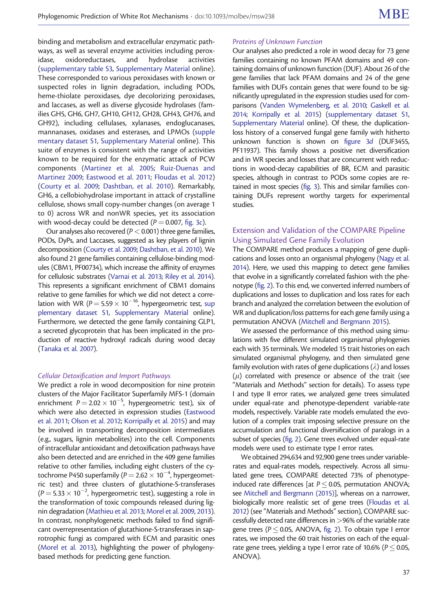binding and metabolism and extracellular enzymatic pathways, as well as several enzyme activities including peroxidase, oxidoreductases, and hydrolase activities ([supplementary table S3,](http://mbe.oxfordjournals.org/lookup/suppl/doi:10.1093/molbev/msw238/-/DC1) [Supplementary Material](http://mbe.oxfordjournals.org/lookup/suppl/doi:10.1093/molbev/msw238/-/DC1) online). These corresponded to various peroxidases with known or suspected roles in lignin degradation, including PODs, heme-thiolate peroxidases, dye decolorizing peroxidases, and laccases, as well as diverse glycoside hydrolases (families GH5, GH6, GH7, GH10, GH12, GH28, GH43, GH76, and GH92), including cellulases, xylanases, endoglucanases, mannanases, oxidases and esterases, and LPMOs [\(supple](http://mbe.oxfordjournals.org/lookup/suppl/doi:10.1093/molbev/msw238/-/DC1) [mentary dataset S1](http://mbe.oxfordjournals.org/lookup/suppl/doi:10.1093/molbev/msw238/-/DC1), [Supplementary Material](http://mbe.oxfordjournals.org/lookup/suppl/doi:10.1093/molbev/msw238/-/DC1) online). This suite of enzymes is consistent with the range of activities known to be required for the enzymatic attack of PCW components ([Martinez et al. 2005](#page-9-0); [Ruiz-Duenas and](#page-9-0) [Martinez 2009](#page-9-0); [Eastwood et al. 2011](#page-8-0); [Floudas et al. 2012](#page-8-0)) ([Courty et al. 2009;](#page-8-0) [Dashtban, et al. 2010](#page-8-0)). Remarkably, GH6, a cellobiohydrolase important in attack of crystalline cellulose, shows small copy-number changes (on average 1 to 0) across WR and nonWR species, yet its association with wood-decay could be detected ( $P = 0.007$ , [fig. 3](#page-5-0)c).

Our analyses also recovered ( $P < 0.001$ ) three gene families, PODs, DyPs, and Laccases, suggested as key players of lignin decomposition [\(Courty et al. 2009;](#page-8-0) [Dashtban, et al. 2010](#page-8-0)). We also found 21 gene families containing cellulose-binding modules (CBM1, PF00734), which increase the affinity of enzymes for cellulosic substrates ([Varnai et al. 2013;](#page-9-0) [Riley et al. 2014\)](#page-9-0). This represents a significant enrichment of CBM1 domains relative to gene families for which we did not detect a correlation with WR ( $P = 5.59 \times 10^{-16}$ , hypergeometric test, [sup](http://mbe.oxfordjournals.org/lookup/suppl/doi:10.1093/molbev/msw238/-/DC1) [plementary dataset S1,](http://mbe.oxfordjournals.org/lookup/suppl/doi:10.1093/molbev/msw238/-/DC1) [Supplementary Material](http://mbe.oxfordjournals.org/lookup/suppl/doi:10.1093/molbev/msw238/-/DC1) online). Furthermore, we detected the gene family containing GLP1, a secreted glycoprotein that has been implicated in the production of reactive hydroxyl radicals during wood decay ([Tanaka et al. 2007](#page-9-0)).

#### Cellular Detoxification and Import Pathways

We predict a role in wood decomposition for nine protein clusters of the Major Facilitator Superfamily MFS-1 (domain enrichment  $P = 2.02 \times 10^{-5}$ , hypergeometric test), six of which were also detected in expression studies ([Eastwood](#page-8-0) [et al. 2011](#page-8-0); [Olson et al. 2012;](#page-9-0) [Korripally et al. 2015\)](#page-9-0) and may be involved in transporting decomposition intermediates (e.g., sugars, lignin metabolites) into the cell. Components of intracellular antioxidant and detoxification pathways have also been detected and are enriched in the 409 gene families relative to other families, including eight clusters of the cytochrome P450 superfamily ( $P = 2.62 \times 10^{-4}$ , hypergeometric test) and three clusters of glutathione-S-transferases  $(P = 5.33 \times 10^{-2}$ , hypergeometric test), suggesting a role in the transformation of toxic compounds released during lignin degradation [\(Mathieu et al. 2013;](#page-9-0) [Morel et al. 2009](#page-9-0), [2013\)](#page-9-0). In contrast, nonphylogenetic methods failed to find significant overrepresentation of glutathione-S-transferases in saprotrophic fungi as compared with ECM and parasitic ones ([Morel et al. 2013](#page-9-0)), highlighting the power of phylogenybased methods for predicting gene function.

#### Proteins of Unknown Function

Our analyses also predicted a role in wood decay for 73 gene families containing no known PFAM domains and 49 containing domains of unknown function (DUF). About 26 of the gene families that lack PFAM domains and 24 of the gene families with DUFs contain genes that were found to be significantly upregulated in the expression studies used for comparisons ([Vanden Wymelenberg, et al. 2010;](#page-9-0) [Gaskell et al.](#page-8-0) [2014;](#page-8-0) [Korripally et al. 2015\)](#page-9-0) [\(supplementary dataset S1,](http://mbe.oxfordjournals.org/lookup/suppl/doi:10.1093/molbev/msw238/-/DC1) [Supplementary Material](http://mbe.oxfordjournals.org/lookup/suppl/doi:10.1093/molbev/msw238/-/DC1) online). Of these, the duplicationloss history of a conserved fungal gene family with hitherto unknown function is shown on [figure 3](#page-5-0)d (DUF3455, PF11937). This family shows a positive net diversification and in WR species and losses that are concurrent with reductions in wood-decay capabilities of BR, ECM and parasitic species, although in contrast to PODs some copies are retained in most species [\(fig. 3\)](#page-5-0). This and similar families containing DUFs represent worthy targets for experimental studies.

#### Extension and Validation of the COMPARE Pipeline Using Simulated Gene Family Evolution

The COMPARE method produces a mapping of gene duplications and losses onto an organismal phylogeny [\(Nagy et al.](#page-9-0) [2014\)](#page-9-0). Here, we used this mapping to detect gene families that evolve in a significantly correlated fashion with the phenotype [\(fig. 2](#page-4-0)). To this end, we converted inferred numbers of duplications and losses to duplication and loss rates for each branch and analyzed the correlation between the evolution of WR and duplication/loss patterns for each gene family using a permutation ANOVA [\(Mitchell and Bergmann 2015\)](#page-9-0).

We assessed the performance of this method using simulations with five different simulated organismal phylogenies each with 35 terminals. We modeled 15 trait histories on each simulated organismal phylogeny, and then simulated gene family evolution with rates of gene duplications ( $\lambda$ ) and losses  $(\mu)$  correlated with presence or absence of the trait (see "Materials and Methods" section for details). To assess type I and type II error rates, we analyzed gene trees simulated under equal-rate and phenotype-dependent variable-rate models, respectively. Variable rate models emulated the evolution of a complex trait imposing selective pressure on the accumulation and functional diversification of paralogs in a subset of species [\(fig. 2\)](#page-4-0). Gene trees evolved under equal-rate models were used to estimate type I error rates.

We obtained 294,634 and 92,900 gene trees under variablerates and equal-rates models, respectively. Across all simulated gene trees, COMPARE detected 73% of phenotypeinduced rate differences [at  $P \leq 0.05$ , permutation ANOVA; see [Mitchell and Bergmann \(2015\)\]](#page-9-0), whereas on a narrower, biologically more realistic set of gene trees ([Floudas et al.](#page-8-0) [2012\)](#page-8-0) (see "Materials and Methods" section), COMPARE successfully detected rate differences in >96% of the variable rate gene trees ( $P \le 0.05$ , ANOVA, [fig. 2](#page-4-0)). To obtain type I error rates, we imposed the 60 trait histories on each of the equalrate gene trees, yielding a type I error rate of 10.6% ( $P \leq$  0.05, ANOVA).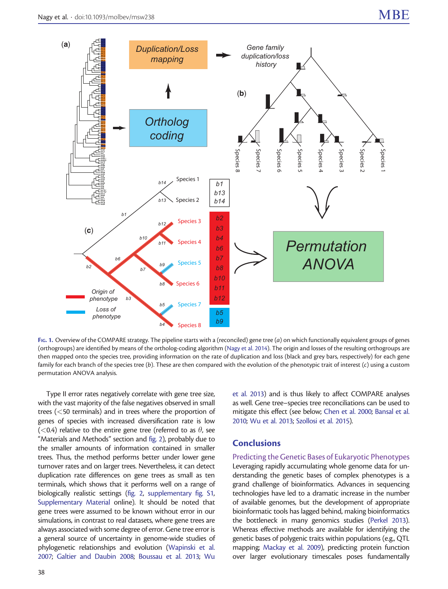

FIG. 1. Overview of the COMPARE strategy. The pipeline starts with a (reconciled) gene tree  $(a)$  on which functionally equivalent groups of genes (orthogroups) are identified by means of the ortholog-coding algorithm ([Nagy et al. 2014](#page-9-0)). The origin and losses of the resulting orthogroups are then mapped onto the species tree, providing information on the rate of duplication and loss (black and grey bars, respectively) for each gene family for each branch of the species tree (b). These are then compared with the evolution of the phenotypic trait of interest  $(c)$  using a custom permutation ANOVA analysis.

Type II error rates negatively correlate with gene tree size, with the vast majority of the false negatives observed in small trees (<50 terminals) and in trees where the proportion of genes of species with increased diversification rate is low (<0.4) relative to the entire gene tree (referred to as  $\theta$ , see "Materials and Methods" section and [fig. 2\)](#page-4-0), probably due to the smaller amounts of information contained in smaller trees. Thus, the method performs better under lower gene turnover rates and on larger trees. Nevertheless, it can detect duplication rate differences on gene trees as small as ten terminals, which shows that it performs well on a range of biologically realistic settings ([fig. 2,](#page-4-0) [supplementary fig. S1,](http://mbe.oxfordjournals.org/lookup/suppl/doi:10.1093/molbev/msw238/-/DC1) [Supplementary Material](http://mbe.oxfordjournals.org/lookup/suppl/doi:10.1093/molbev/msw238/-/DC1) online). It should be noted that gene trees were assumed to be known without error in our simulations, in contrast to real datasets, where gene trees are always associated with some degree of error. Gene tree error is a general source of uncertainty in genome-wide studies of phylogenetic relationships and evolution ([Wapinski et al.](#page-9-0) [2007;](#page-9-0) [Galtier and Daubin 2008;](#page-8-0) [Boussau et al. 2013;](#page-8-0) [Wu](#page-9-0)

[et al. 2013\)](#page-9-0) and is thus likely to affect COMPARE analyses as well. Gene tree–species tree reconciliations can be used to mitigate this effect (see below; [Chen et al. 2000;](#page-8-0) [Bansal et al.](#page-8-0) [2010;](#page-8-0) [Wu et al. 2013](#page-9-0); [Szollosi et al. 2015\)](#page-9-0).

# **Conclusions**

Predicting the Genetic Bases of Eukaryotic Phenotypes Leveraging rapidly accumulating whole genome data for understanding the genetic bases of complex phenotypes is a grand challenge of bioinformatics. Advances in sequencing technologies have led to a dramatic increase in the number of available genomes, but the development of appropriate bioinformatic tools has lagged behind, making bioinformatics the bottleneck in many genomics studies [\(Perkel 2013\)](#page-9-0). Whereas effective methods are available for identifying the genetic bases of polygenic traits within populations (e.g., QTL mapping; [Mackay et al. 2009](#page-9-0)), predicting protein function over larger evolutionary timescales poses fundamentally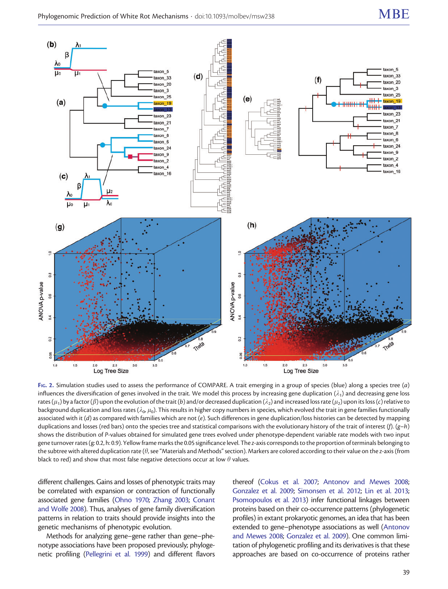<span id="page-4-0"></span>

FIG. 2. Simulation studies used to assess the performance of COMPARE. A trait emerging in a group of species (blue) along a species tree (a) influences the diversification of genes involved in the trait. We model this process by increasing gene duplication  $(\lambda_1)$  and decreasing gene loss rates ( $\mu_1$ ) by a factor ( $\beta$ ) upon the evolution of the trait (b) and/or decreased duplication ( $\lambda_2$ ) and increased loss rate ( $\mu_2$ ) upon its loss (c) relative to background duplication and loss rates ( $\lambda_0$ ,  $\mu_0$ ). This results in higher copy numbers in species, which evolved the trait in gene families functionally associated with it (d) as compared with families which are not (e). Such differences in gene duplication/loss histories can be detected by mapping duplications and losses (red bars) onto the species tree and statistical comparisons with the evolutionary history of the trait of interest (f).  $(g-h)$ shows the distribution of P-values obtained for simulated gene trees evolved under phenotype-dependent variable rate models with two input gene turnover rates (g: 0.2, h: 0.9). Yellow frame marks the 0.05 significance level. The z-axis corresponds to the proportion of terminals belonging to the subtree with altered duplication rate ( $\theta$ , see "Materials and Methods" section). Markers are colored according to their value on the z-axis (from black to red) and show that most false negative detections occur at low  $\theta$  values.

different challenges. Gains and losses of phenotypic traits may be correlated with expansion or contraction of functionally associated gene families ([Ohno 1970;](#page-9-0) [Zhang 2003;](#page-9-0) [Conant](#page-8-0) [and Wolfe 2008\)](#page-8-0). Thus, analyses of gene family diversification patterns in relation to traits should provide insights into the genetic mechanisms of phenotypic evolution.

Methods for analyzing gene–gene rather than gene–phenotype associations have been proposed previously; phylogenetic profiling [\(Pellegrini et al. 1999](#page-9-0)) and different flavors

thereof [\(Cokus et al. 2007](#page-8-0); [Antonov and Mewes 2008;](#page-8-0) [Gonzalez et al. 2009](#page-8-0); [Simonsen et al. 2012;](#page-9-0) [Lin et al. 2013;](#page-9-0) [Psomopoulos et al. 2013\)](#page-9-0) infer functional linkages between proteins based on their co-occurrence patterns (phylogenetic profiles) in extant prokaryotic genomes, an idea that has been extended to gene–phenotype associations as well [\(Antonov](#page-8-0) [and Mewes 2008](#page-8-0); [Gonzalez et al. 2009](#page-8-0)). One common limitation of phylogenetic profiling and its derivatives is that these approaches are based on co-occurrence of proteins rather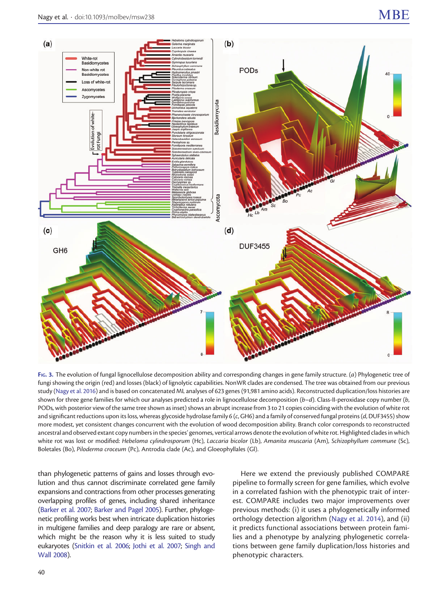<span id="page-5-0"></span>

FIG. 3. The evolution of fungal lignocellulose decomposition ability and corresponding changes in gene family structure. (a) Phylogenetic tree of fungi showing the origin (red) and losses (black) of lignolytic capabilities. NonWR clades are condensed. The tree was obtained from our previous study ([Nagy et al. 2016](#page-9-0)) and is based on concatenated ML analyses of 623 genes (91,981 amino acids). Reconstructed duplication/loss histories are shown for three gene families for which our analyses predicted a role in lignocellulose decomposition  $(b-d)$ . Class-II-peroxidase copy number  $(b,$ PODs, with posterior view of the same tree shown as inset) shows an abrupt increase from 3 to 21 copies coinciding with the evolution of white rot and significant reductions upon its loss, whereas glycoside hydrolase family 6 (c, GH6) and a family of conserved fungal proteins (d, DUF3455) show more modest, yet consistent changes concurrent with the evolution of wood decomposition ability. Branch color corresponds to reconstructed ancestral and observed extant copy numbers in the species' genomes, vertical arrows denote the evolution of white rot. Highlighted clades in which white rot was lost or modified: Hebeloma cylindrosporum (Hc), Laccaria bicolor (Lb), Amanita muscaria (Am), Schizophyllum commune (Sc), Boletales (Bo), Piloderma croceum (Pc), Antrodia clade (Ac), and Gloeophyllales (Gl).

than phylogenetic patterns of gains and losses through evolution and thus cannot discriminate correlated gene family expansions and contractions from other processes generating overlapping profiles of genes, including shared inheritance ([Barker et al. 2007;](#page-8-0) [Barker and Pagel 2005](#page-8-0)). Further, phylogenetic profiling works best when intricate duplication histories in multigene families and deep paralogy are rare or absent, which might be the reason why it is less suited to study eukaryotes [\(Snitkin et al. 2006](#page-9-0); [Jothi et al. 2007](#page-8-0); [Singh and](#page-9-0) [Wall 2008](#page-9-0)).

Here we extend the previously published COMPARE pipeline to formally screen for gene families, which evolve in a correlated fashion with the phenotypic trait of interest. COMPARE includes two major improvements over previous methods: (i) it uses a phylogenetically informed orthology detection algorithm ([Nagy et al. 2014](#page-9-0)), and (ii) it predicts functional associations between protein families and a phenotype by analyzing phylogenetic correlations between gene family duplication/loss histories and phenotypic characters.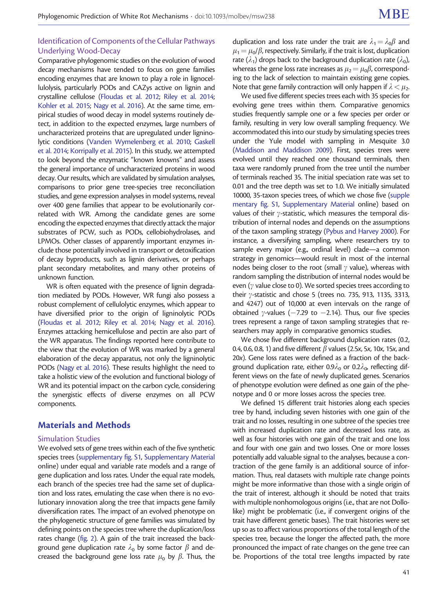# Identification of Components of the Cellular Pathways Underlying Wood-Decay

Comparative phylogenomic studies on the evolution of wood decay mechanisms have tended to focus on gene families encoding enzymes that are known to play a role in lignocellulolysis, particularly PODs and CAZys active on lignin and crystalline cellulose [\(Floudas et al. 2012;](#page-8-0) [Riley et al. 2014;](#page-9-0) [Kohler et al. 2015;](#page-9-0) [Nagy et al. 2016\)](#page-9-0). At the same time, empirical studies of wood decay in model systems routinely detect, in addition to the expected enzymes, large numbers of uncharacterized proteins that are upregulated under ligninolytic conditions [\(Vanden Wymelenberg et al. 2010;](#page-9-0) [Gaskell](#page-8-0) [et al. 2014](#page-8-0); [Korripally et al. 2015](#page-9-0)). In this study, we attempted to look beyond the enzymatic "known knowns" and assess the general importance of uncharacterized proteins in wood decay. Our results, which are validated by simulation analyses, comparisons to prior gene tree-species tree reconciliation studies, and gene expression analyses in model systems, reveal over 400 gene families that appear to be evolutionarily correlated with WR. Among the candidate genes are some encoding the expected enzymes that directly attack the major substrates of PCW, such as PODs, cellobiohydrolases, and LPMOs. Other classes of apparently important enzymes include those potentially involved in transport or detoxification of decay byproducts, such as lignin derivatives, or perhaps plant secondary metabolites, and many other proteins of unknown function.

WR is often equated with the presence of lignin degradation mediated by PODs. However, WR fungi also possess a robust complement of cellulolytic enzymes, which appear to have diversified prior to the origin of ligninolytic PODs ([Floudas et al. 2012](#page-8-0); [Riley et al. 2014;](#page-9-0) [Nagy et al. 2016\)](#page-9-0). Enzymes attacking hemicellulose and pectin are also part of the WR apparatus. The findings reported here contribute to the view that the evolution of WR was marked by a general elaboration of the decay apparatus, not only the ligninolytic PODs [\(Nagy et al. 2016\)](#page-9-0). These results highlight the need to take a holistic view of the evolution and functional biology of WR and its potential impact on the carbon cycle, considering the synergistic effects of diverse enzymes on all PCW components.

# Materials and Methods

#### Simulation Studies

We evolved sets of gene trees within each of the five synthetic species trees ([supplementary fig. S1](http://mbe.oxfordjournals.org/lookup/suppl/doi:10.1093/molbev/msw238/-/DC1), [Supplementary Material](http://mbe.oxfordjournals.org/lookup/suppl/doi:10.1093/molbev/msw238/-/DC1) online) under equal and variable rate models and a range of gene duplication and loss rates. Under the equal rate models, each branch of the species tree had the same set of duplication and loss rates, emulating the case when there is no evolutionary innovation along the tree that impacts gene family diversification rates. The impact of an evolved phenotype on the phylogenetic structure of gene families was simulated by defining points on the species tree where the duplication/loss rates change [\(fig. 2](#page-4-0)). A gain of the trait increased the background gene duplication rate  $\lambda_0$  by some factor  $\beta$  and decreased the background gene loss rate  $\mu_0$  by  $\beta$ . Thus, the

duplication and loss rate under the trait are  $\lambda_1 = \lambda_0 \beta$  and  $\mu_1 = \mu_0/\beta$ , respectively. Similarly, if the trait is lost, duplication rate ( $\lambda_1$ ) drops back to the background duplication rate ( $\lambda_0$ ), whereas the gene loss rate increases as  $\mu_2 = \mu_0 \beta$ , corresponding to the lack of selection to maintain existing gene copies. Note that gene family contraction will only happen if  $\lambda < \mu_2$ .

We used five different species trees each with 35 species for evolving gene trees within them. Comparative genomics studies frequently sample one or a few species per order or family, resulting in very low overall sampling frequency. We accommodated this into our study by simulating species trees under the Yule model with sampling in Mesquite 3.0 [\(Maddison and Maddison 2009](#page-9-0)). First, species trees were evolved until they reached one thousand terminals, then taxa were randomly pruned from the tree until the number of terminals reached 35. The initial speciation rate was set to 0.01 and the tree depth was set to 1.0. We initially simulated 10000, 35-taxon species trees, of which we chose five [\(supple](http://mbe.oxfordjournals.org/lookup/suppl/doi:10.1093/molbev/msw238/-/DC1) [mentary fig. S1](http://mbe.oxfordjournals.org/lookup/suppl/doi:10.1093/molbev/msw238/-/DC1), [Supplementary Material](http://mbe.oxfordjournals.org/lookup/suppl/doi:10.1093/molbev/msw238/-/DC1) online) based on values of their  $\gamma$ -statistic, which measures the temporal distribution of internal nodes and depends on the assumptions of the taxon sampling strategy ([Pybus and Harvey 2000](#page-9-0)). For instance, a diversifying sampling, where researchers try to sample every major (e.g., ordinal level) clade—a common strategy in genomics—would result in most of the internal nodes being closer to the root (small  $\gamma$  value), whereas with random sampling the distribution of internal nodes would be even ( $\gamma$  value close to 0). We sorted species trees according to their  $\gamma$ -statistic and chose 5 (trees no. 735, 913, 1135, 3313, and 4247) out of 10,000 at even intervals on the range of obtained  $\gamma$ -values (-7.29 to -2.14). Thus, our five species trees represent a range of taxon sampling strategies that researchers may apply in comparative genomics studies.

We chose five different background duplication rates (0.2, 0.4, 0.6, 0.8, 1) and five different  $\beta$  values (2.5x, 5x, 10x, 15x, and 20x). Gene loss rates were defined as a fraction of the background duplication rate, either 0.9 $\lambda_0$  or 0.2 $\lambda_0$ , reflecting different views on the fate of newly duplicated genes. Scenarios of phenotype evolution were defined as one gain of the phenotype and 0 or more losses across the species tree.

We defined 15 different trait histories along each species tree by hand, including seven histories with one gain of the trait and no losses, resulting in one subtree of the species tree with increased duplication rate and decreased loss rate, as well as four histories with one gain of the trait and one loss and four with one gain and two losses. One or more losses potentially add valuable signal to the analyses, because a contraction of the gene family is an additional source of information. Thus, real datasets with multiple rate change points might be more informative than those with a single origin of the trait of interest, although it should be noted that traits with multiple nonhomologous origins (i.e., that are not Dollolike) might be problematic (i.e., if convergent origins of the trait have different genetic bases). The trait histories were set up so as to affect various proportions of the total length of the species tree, because the longer the affected path, the more pronounced the impact of rate changes on the gene tree can be. Proportions of the total tree lengths impacted by rate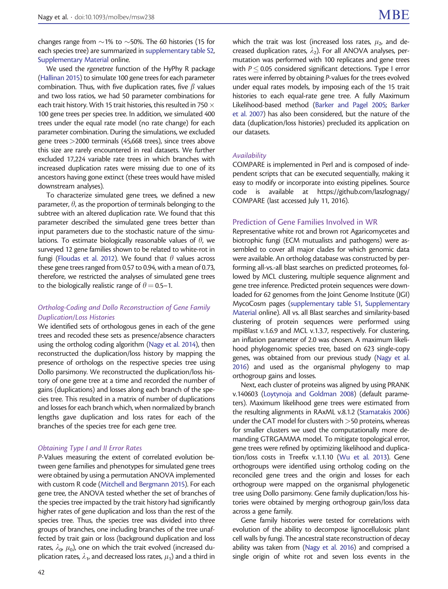changes range from  $\sim$  1% to  $\sim$  50%. The 60 histories (15 for each species tree) are summarized in [supplementary table S2,](http://mbe.oxfordjournals.org/lookup/suppl/doi:10.1093/molbev/msw238/-/DC1) [Supplementary Material](http://mbe.oxfordjournals.org/lookup/suppl/doi:10.1093/molbev/msw238/-/DC1) online.

We used the rgenetree function of the HyPhy R package ([Hallinan 2015](#page-8-0)) to simulate 100 gene trees for each parameter combination. Thus, with five duplication rates, five  $\beta$  values and two loss ratios, we had 50 parameter combinations for each trait history. With 15 trait histories, this resulted in 750  $\times$ 100 gene trees per species tree. In addition, we simulated 400 trees under the equal rate model (no rate change) for each parameter combination. During the simulations, we excluded gene trees>2000 terminals (45,668 trees), since trees above this size are rarely encountered in real datasets. We further excluded 17,224 variable rate trees in which branches with increased duplication rates were missing due to one of its ancestors having gone extinct (these trees would have misled downstream analyses).

To characterize simulated gene trees, we defined a new parameter,  $\theta$ , as the proportion of terminals belonging to the subtree with an altered duplication rate. We found that this parameter described the simulated gene trees better than input parameters due to the stochastic nature of the simulations. To estimate biologically reasonable values of  $\theta$ , we surveyed 12 gene families shown to be related to white-rot in fungi [\(Floudas et al. 2012](#page-8-0)). We found that  $\theta$  values across these gene trees ranged from 0.57 to 0.94, with a mean of 0.73, therefore, we restricted the analyses of simulated gene trees to the biologically realistic range of  $\theta = 0.5-1$ .

#### Ortholog-Coding and Dollo Reconstruction of Gene Family Duplication/Loss Histories

We identified sets of orthologous genes in each of the gene trees and recoded these sets as presence/absence characters using the ortholog coding algorithm [\(Nagy et al. 2014\)](#page-9-0), then reconstructed the duplication/loss history by mapping the presence of orthologs on the respective species tree using Dollo parsimony. We reconstructed the duplication/loss history of one gene tree at a time and recorded the number of gains (duplications) and losses along each branch of the species tree. This resulted in a matrix of number of duplications and losses for each branch which, when normalized by branch lengths gave duplication and loss rates for each of the branches of the species tree for each gene tree.

#### Obtaining Type I and II Error Rates

P-Values measuring the extent of correlated evolution between gene families and phenotypes for simulated gene trees were obtained by using a permutation ANOVA implemented with custom R code ([Mitchell and Bergmann 2015\)](#page-9-0). For each gene tree, the ANOVA tested whether the set of branches of the species tree impacted by the trait history had significantly higher rates of gene duplication and loss than the rest of the species tree. Thus, the species tree was divided into three groups of branches, one including branches of the tree unaffected by trait gain or loss (background duplication and loss rates,  $\lambda_0$ ,  $\mu_0$ ), one on which the trait evolved (increased duplication rates,  $\lambda_1$ , and decreased loss rates,  $\mu_1$ ) and a third in

which the trait was lost (increased loss rates,  $\mu_2$ , and decreased duplication rates,  $\lambda_2$ ). For all ANOVA analyses, permutation was performed with 100 replicates and gene trees with  $P \leq 0.05$  considered significant detections. Type I error rates were inferred by obtaining P-values for the trees evolved under equal rates models, by imposing each of the 15 trait histories to each equal-rate gene tree. A fully Maximum Likelihood-based method [\(Barker and Pagel 2005;](#page-8-0) [Barker](#page-8-0) [et al. 2007\)](#page-8-0) has also been considered, but the nature of the data (duplication/loss histories) precluded its application on our datasets.

#### Availability

COMPARE is implemented in Perl and is composed of independent scripts that can be executed sequentially, making it easy to modify or incorporate into existing pipelines. Source code is available at [https://github.com/laszlognagy/](https://github.com/laszlognagy/COMPARE) [COMPARE](https://github.com/laszlognagy/COMPARE) (last accessed July 11, 2016).

#### Prediction of Gene Families Involved in WR

Representative white rot and brown rot Agaricomycetes and biotrophic fungi (ECM mutualists and pathogens) were assembled to cover all major clades for which genomic data were available. An ortholog database was constructed by performing all-vs.-all blast searches on predicted proteomes, followed by MCL clustering, multiple sequence alignment and gene tree inference. Predicted protein sequences were downloaded for 62 genomes from the Joint Genome Institute (JGI) MycoCosm pages [\(supplementary table S1,](http://mbe.oxfordjournals.org/lookup/suppl/doi:10.1093/molbev/msw238/-/DC1) [Supplementary](http://mbe.oxfordjournals.org/lookup/suppl/doi:10.1093/molbev/msw238/-/DC1) [Material](http://mbe.oxfordjournals.org/lookup/suppl/doi:10.1093/molbev/msw238/-/DC1) online). All vs. all Blast searches and similarity-based clustering of protein sequences were performed using mpiBlast v.1.6.9 and MCL v.1.3.7, respectively. For clustering, an inflation parameter of 2.0 was chosen. A maximum likelihood phylogenomic species tree, based on 623 single-copy genes, was obtained from our previous study ([Nagy et al.](#page-9-0) [2016\)](#page-9-0) and used as the organismal phylogeny to map orthogroup gains and losses.

Next, each cluster of proteins was aligned by using PRANK v.140603 [\(Loytynoja and Goldman 2008](#page-9-0)) (default parameters). Maximum likelihood gene trees were estimated from the resulting alignments in RAxML v.8.1.2 [\(Stamatakis 2006](#page-9-0)) under the CAT model for clusters with  $>$  50 proteins, whereas for smaller clusters we used the computationally more demanding GTRGAMMA model. To mitigate topological error, gene trees were refined by optimizing likelihood and duplication/loss costs in Treefix v.1.1.10 [\(Wu et al. 2013](#page-9-0)). Gene orthogroups were identified using ortholog coding on the reconciled gene trees and the origin and losses for each orthogroup were mapped on the organismal phylogenetic tree using Dollo parsimony. Gene family duplication/loss histories were obtained by merging orthogroup gain/loss data across a gene family.

Gene family histories were tested for correlations with evolution of the ability to decompose lignocellulosic plant cell walls by fungi. The ancestral state reconstruction of decay ability was taken from [\(Nagy et al. 2016](#page-9-0)) and comprised a single origin of white rot and seven loss events in the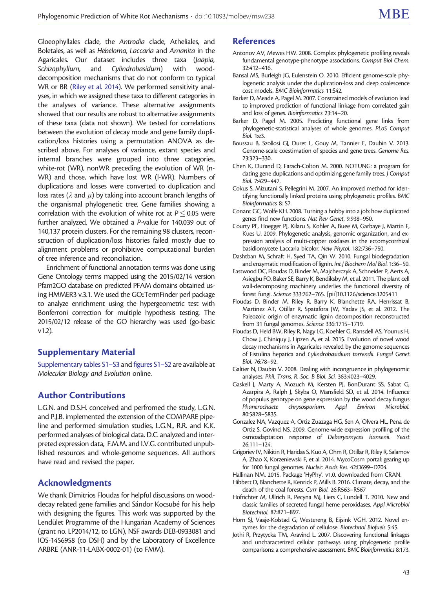<span id="page-8-0"></span>Gloeophyllales clade, the Antrodia clade, Atheliales, and Boletales, as well as Hebeloma, Laccaria and Amanita in the Agaricales. Our dataset includes three taxa (Jaapia, Schizophyllum, and Cylindrobasidum) with wooddecomposition mechanisms that do not conform to typical WR or BR [\(Riley et al. 2014](#page-9-0)). We performed sensitivity analyses, in which we assigned these taxa to different categories in the analyses of variance. These alternative assignments showed that our results are robust to alternative assignments of these taxa (data not shown). We tested for correlations between the evolution of decay mode and gene family duplication/loss histories using a permutation ANOVA as described above. For analyses of variance, extant species and internal branches were grouped into three categories, white-rot (WR), nonWR preceding the evolution of WR (n-WR) and those, which have lost WR (l-WR). Numbers of duplications and losses were converted to duplication and loss rates ( $\lambda$  and  $\mu$ ) by taking into account branch lengths of the organismal phylogenetic tree. Gene families showing a correlation with the evolution of white rot at  $P$   $\leq$  0.05 were further analyzed. We obtained a P-value for 140,039 out of 140,137 protein clusters. For the remaining 98 clusters, reconstruction of duplication/loss histories failed mostly due to alignment problems or prohibitive computational burden of tree inference and reconciliation.

Enrichment of functional annotation terms was done using Gene Ontology terms mapped using the 2015/02/14 version Pfam2GO database on predicted PFAM domains obtained using HMMER3 v.3.1. We used the GO::TermFinder perl package to analyze enrichment using the hypergeometric test with Bonferroni correction for multiple hypothesis testing. The 2015/02/12 release of the GO hierarchy was used (go-basic v1.2).

# Supplementary Material

[Supplementary tables S1–S3](http://mbe.oxfordjournals.org/lookup/suppl/doi:10.1093/molbev/msw238/-/DC1) and [figures S1–S2](http://mbe.oxfordjournals.org/lookup/suppl/doi:10.1093/molbev/msw238/-/DC1) are available at Molecular Biology and Evolution online.

# Author Contributions

L.G.N. and D.S.H. conceived and perfromed the study, L.G.N. and P.J.B. implemented the extension of the COMPARE pipeline and performed simulation studies, L.G.N., R.R. and K.K. performed analyses of biological data. D.C. analyzed and interpreted expression data, F.M.M. and I.V.G. contributed unpublished resources and whole-genome sequences. All authors have read and revised the paper.

# Acknowledgments

We thank Dimitrios Floudas for helpful discussions on wooddecay related gene families and Sándor Kocsubé for his help with designing the figures. This work was supported by the Lendület Programme of the Hungarian Academy of Sciences (grant no. LP2014/12, to LGN), NSF awards DEB-0933081 and IOS-1456958 (to DSH) and by the Laboratory of Excellence ARBRE (ANR-11-LABX-0002-01) (to FMM).

# References

- Antonov AV, Mewes HW. 2008. Complex phylogenetic profiling reveals fundamental genotype-phenotype associations. Comput Biol Chem. 32:412–416.
- Bansal MS, Burleigh JG, Eulenstein O. 2010. Efficient genome-scale phylogenetic analysis under the duplication-loss and deep coalescence cost models. BMC Bioinformatics 11:S42.
- Barker D, Meade A, Pagel M. 2007. Constrained models of evolution lead to improved prediction of functional linkage from correlated gain and loss of genes. Bioinformatics 23:14–20.
- Barker D, Pagel M. 2005. Predicting functional gene links from phylogenetic-statistical analyses of whole genomes. PLoS Comput Biol. 1:e3.
- Boussau B, Szollosi GJ, Duret L, Gouy M, Tannier E, Daubin V. 2013. Genome-scale coestimation of species and gene trees. Genome Res. 23:323–330.
- Chen K, Durand D, Farach-Colton M. 2000. NOTUNG: a program for dating gene duplications and optimizing gene family trees. J Comput Biol. 7:429–447.
- Cokus S, Mizutani S, Pellegrini M. 2007. An improved method for identifying functionally linked proteins using phylogenetic profiles. BMC Bioinformatics 8: S7.
- Conant GC, Wolfe KH. 2008. Turning a hobby into a job: how duplicated genes find new functions. Nat Rev Genet, 9:938–950.
- Courty PE, Hoegger PJ, Kilaru S, Kohler A, Buee M, Garbaye J, Martin F, Kues U. 2009. Phylogenetic analysis, genomic organization, and expression analysis of multi-copper oxidases in the ectomycorrhizal basidiomycete Laccaria bicolor. New Phytol. 182:736–750.
- Dashtban M, Schraft H, Syed TA, Qin W. 2010. Fungal biodegradation and enzymatic modification of lignin. Int J Biochem Mol Biol. 1:36–50.
- Eastwood DC, Floudas D, Binder M, Majcherczyk A, Schneider P, Aerts A, Asiegbu FO, Baker SE, Barry K, Bendiksby M, et al. 2011. The plant cell wall-decomposing machinery underlies the functional diversity of forest fungi. Science 333:762–765. [pii]10.1126/science.1205411
- Floudas D, Binder M, Riley R, Barry K, Blanchette RA, Henrissat B, Martinez AT, Otillar R, Spatafora JW, Yadav JS, et al. 2012. The Paleozoic origin of enzymatic lignin decomposition reconstructed from 31 fungal genomes. Science 336:1715–1719.
- Floudas D, Held BW, Riley R, Nagy LG, Koehler G, Ransdell AS, Younus H, Chow J, Chiniquy J, Lipzen A, et al. 2015. Evolution of novel wood decay mechanisms in Agaricales revealed by the genome sequences of Fistulina hepatica and Cylindrobasidium torrendii. Fungal Genet Biol. 76:78–92.
- Galtier N, Daubin V. 2008. Dealing with incongruence in phylogenomic analyses. Phil. Trans. R. Soc. B Biol. Sci. 363:4023–4029.
- Gaskell J, Marty A, Mozuch M, Kersten PJ, BonDurant SS, Sabat G, Azarpira A, Ralph J, Skyba O, Mansfield SD, et al. 2014. Influence of populus genotype on gene expression by the wood decay fungus Phanerochaete chrysosporium. Appl Environ Microbiol. 80:5828–5835.
- Gonzalez NA, Vazquez A, Ortiz Zuazaga HG, Sen A, Olvera HL, Pena de Ortiz S, Govind NS. 2009. Genome-wide expression profiling of the osmoadaptation response of Debaryomyces hansenii. Yeast 26:111–124.
- Grigoriev IV, Nikitin R, Haridas S, Kuo A, Ohm R, Otillar R, Riley R, Salamov A, Zhao X, Korzeniewski F, et al. 2014. MycoCosm portal: gearing up for 1000 fungal genomes. Nucleic Acids Res. 42:D699–D704.
- Hallinan NM. 2015. Package 'HyPhy'. v1.0, downloaded from CRAN.
- Hibbett D, Blanchette R, Kenrick P, Mills B. 2016. Climate, decay, and the death of the coal forests. Curr Biol. 26:R563–R567
- Hofrichter M, Ullrich R, Pecyna MJ, Liers C, Lundell T. 2010. New and classic families of secreted fungal heme peroxidases. Appl Microbiol Biotechnol. 87:871–897.
- Horn SJ, Vaaje-Kolstad G, Westereng B, Eijsink VGH. 2012. Novel enzymes for the degradation of cellulose. Biotechnol Biofuels 5:45.
- Jothi R, Przytycka TM, Aravind L. 2007. Discovering functional linkages and uncharacterized cellular pathways using phylogenetic profile comparisons: a comprehensive assessment. BMC Bioinformatics 8:173.